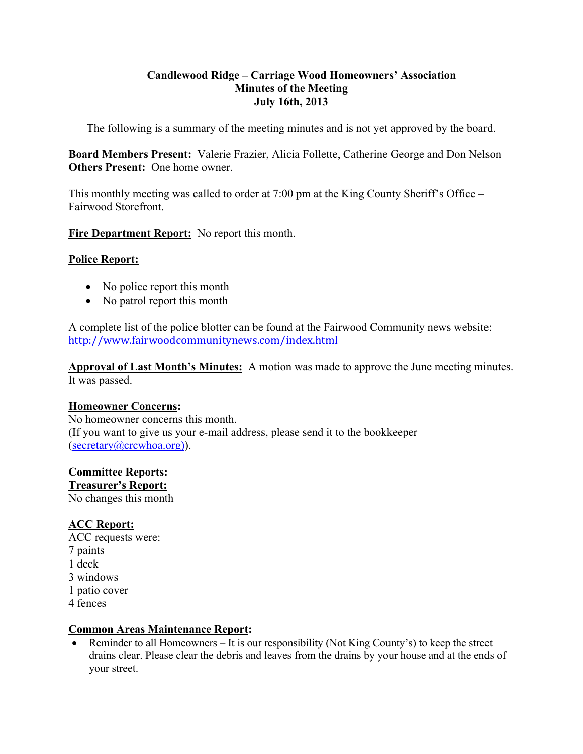## **Candlewood Ridge – Carriage Wood Homeowners' Association Minutes of the Meeting July 16th, 2013**

The following is a summary of the meeting minutes and is not yet approved by the board.

**Board Members Present:** Valerie Frazier, Alicia Follette, Catherine George and Don Nelson **Others Present:** One home owner.

This monthly meeting was called to order at 7:00 pm at the King County Sheriff's Office – Fairwood Storefront.

**Fire Department Report:** No report this month.

# **Police Report:**

- No police report this month
- No patrol report this month

A complete list of the police blotter can be found at the Fairwood Community news website: http://www.fairwoodcommunitynews.com/index.html

**Approval of Last Month's Minutes:** A motion was made to approve the June meeting minutes. It was passed.

# **Homeowner Concerns:**

No homeowner concerns this month. (If you want to give us your e-mail address, please send it to the bookkeeper (secretary@crcwhoa.org)).

# **Committee Reports:**

**Treasurer's Report:** No changes this month

# **ACC Report:**

ACC requests were: 7 paints 1 deck 3 windows 1 patio cover 4 fences

# **Common Areas Maintenance Report:**

• Reminder to all Homeowners  $-$  It is our responsibility (Not King County's) to keep the street drains clear. Please clear the debris and leaves from the drains by your house and at the ends of your street.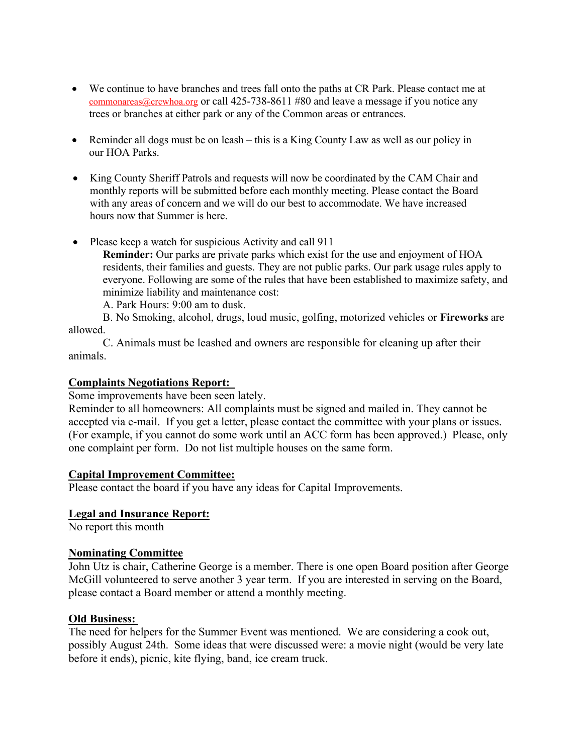- We continue to have branches and trees fall onto the paths at CR Park. Please contact me at commonareas@crcwhoa.org or call 425-738-8611 #80 and leave a message if you notice any trees or branches at either park or any of the Common areas or entrances.
- Reminder all dogs must be on leash this is a King County Law as well as our policy in our HOA Parks.
- King County Sheriff Patrols and requests will now be coordinated by the CAM Chair and monthly reports will be submitted before each monthly meeting. Please contact the Board with any areas of concern and we will do our best to accommodate. We have increased hours now that Summer is here.
- Please keep a watch for suspicious Activity and call 911

**Reminder:** Our parks are private parks which exist for the use and enjoyment of HOA residents, their families and guests. They are not public parks. Our park usage rules apply to everyone. Following are some of the rules that have been established to maximize safety, and minimize liability and maintenance cost:

A. Park Hours: 9:00 am to dusk.

B. No Smoking, alcohol, drugs, loud music, golfing, motorized vehicles or **Fireworks** are allowed.

C. Animals must be leashed and owners are responsible for cleaning up after their animals.

### **Complaints Negotiations Report:**

Some improvements have been seen lately.

Reminder to all homeowners: All complaints must be signed and mailed in. They cannot be accepted via e-mail. If you get a letter, please contact the committee with your plans or issues. (For example, if you cannot do some work until an ACC form has been approved.) Please, only one complaint per form. Do not list multiple houses on the same form.

#### **Capital Improvement Committee:**

Please contact the board if you have any ideas for Capital Improvements.

#### **Legal and Insurance Report:**

No report this month

### **Nominating Committee**

John Utz is chair, Catherine George is a member. There is one open Board position after George McGill volunteered to serve another 3 year term. If you are interested in serving on the Board, please contact a Board member or attend a monthly meeting.

#### **Old Business:**

The need for helpers for the Summer Event was mentioned. We are considering a cook out, possibly August 24th. Some ideas that were discussed were: a movie night (would be very late before it ends), picnic, kite flying, band, ice cream truck.